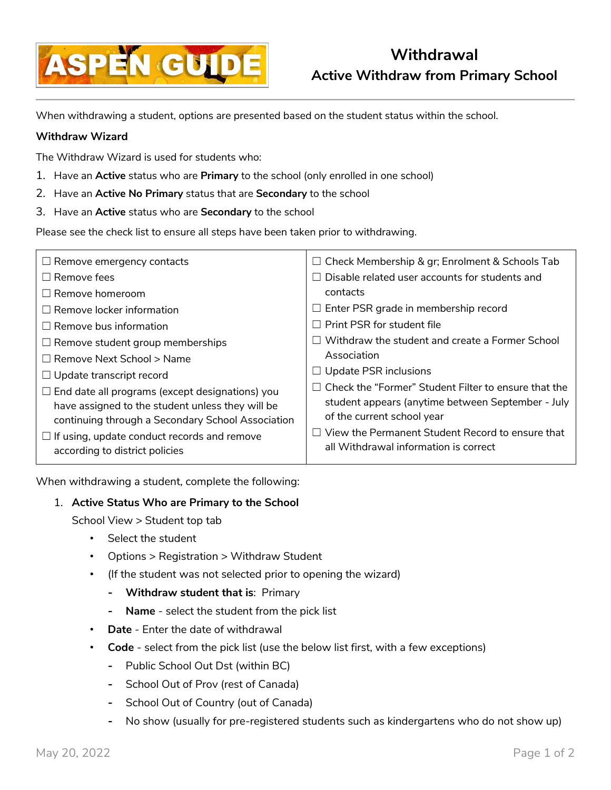

When withdrawing a student, options are presented based on the student status within the school.

## **Withdraw Wizard**

The Withdraw Wizard is used for students who:

- 1. Have an **Active** status who are **Primary** to the school (only enrolled in one school)
- 2. Have an **Active No Primary** status that are **Secondary** to the school
- 3. Have an **Active** status who are **Secondary** to the school

Please see the check list to ensure all steps have been taken prior to withdrawing.

| $\Box$ Remove emergency contacts                                                                                                                                | $\Box$ Check Membership & gr; Enrolment & Schools Tab                                                                                          |
|-----------------------------------------------------------------------------------------------------------------------------------------------------------------|------------------------------------------------------------------------------------------------------------------------------------------------|
| $\Box$ Remove fees                                                                                                                                              | Disable related user accounts for students and                                                                                                 |
| $\Box$ Remove homeroom                                                                                                                                          | contacts                                                                                                                                       |
| $\Box$ Remove locker information                                                                                                                                | $\Box$ Enter PSR grade in membership record                                                                                                    |
| $\Box$ Remove bus information                                                                                                                                   | $\Box$ Print PSR for student file                                                                                                              |
| $\Box$ Remove student group memberships                                                                                                                         | Withdraw the student and create a Former School                                                                                                |
| $\Box$ Remove Next School > Name                                                                                                                                | Association                                                                                                                                    |
| $\Box$ Update transcript record                                                                                                                                 | $\Box$ Update PSR inclusions                                                                                                                   |
| $\Box$ End date all programs (except designations) you<br>have assigned to the student unless they will be<br>continuing through a Secondary School Association | $\Box$ Check the "Former" Student Filter to ensure that the<br>student appears (anytime between September - July<br>of the current school year |
| $\Box$ If using, update conduct records and remove<br>according to district policies                                                                            | $\Box$ View the Permanent Student Record to ensure that<br>all Withdrawal information is correct                                               |

When withdrawing a student, complete the following:

## 1. **Active Status Who are Primary to the School**

School View > Student top tab

- Select the student
- Options > Registration > Withdraw Student
- (If the student was not selected prior to opening the wizard)
	- **- Withdraw student that is**: Primary
	- **- Name** select the student from the pick list
- **Date** Enter the date of withdrawal
- **Code** select from the pick list (use the below list first, with a few exceptions)
	- **-** Public School Out Dst (within BC)
	- **-** School Out of Prov (rest of Canada)
	- **-** School Out of Country (out of Canada)
	- **-** No show (usually for pre-registered students such as kindergartens who do not show up)